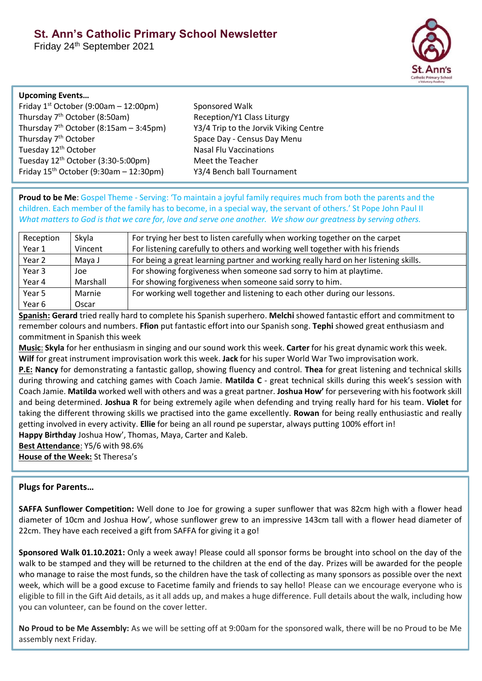# **St. Ann's Catholic Primary School Newsletter**

Friday 24th September 2021



#### **Upcoming Events…**

| Friday $1st October (9:00am - 12:00pm)$            |  |  |
|----------------------------------------------------|--|--|
| Thursday 7 <sup>th</sup> October (8:50am)          |  |  |
| Thursday $7th$ October (8:15am - 3:45pm)           |  |  |
| Thursday 7 <sup>th</sup> October                   |  |  |
| Tuesday 12 <sup>th</sup> October                   |  |  |
| Tuesday 12 <sup>th</sup> October (3:30-5:00pm)     |  |  |
| Friday 15 <sup>th</sup> October (9:30am - 12:30pm) |  |  |

Sponsored Walk Reception/Y1 Class Liturgy Y3/4 Trip to the Jorvik Viking Centre Space Day - Census Day Menu **Nasal Flu Vaccinations** Meet the Teacher Y3/4 Bench ball Tournament

**Proud to be Me**: Gospel Theme - Serving: 'To maintain a joyful family requires much from both the parents and the children. Each member of the family has to become, in a special way, the servant of others.' St Pope John Paul II *What matters to God is that we care for, love and serve one another. We show our greatness by serving others.*

| Reception | Skyla    | For trying her best to listen carefully when working together on the carpet         |
|-----------|----------|-------------------------------------------------------------------------------------|
| Year 1    | Vincent  | For listening carefully to others and working well together with his friends        |
| Year 2    | Maya J   | For being a great learning partner and working really hard on her listening skills. |
| Year 3    | Joe      | For showing forgiveness when someone sad sorry to him at playtime.                  |
| Year 4    | Marshall | For showing forgiveness when someone said sorry to him.                             |
| Year 5    | Marnie   | For working well together and listening to each other during our lessons.           |
| Year 6    | Oscar    |                                                                                     |

**Spanish: Gerard** tried really hard to complete his Spanish superhero. **Melchi** showed fantastic effort and commitment to remember colours and numbers. **Ffion** put fantastic effort into our Spanish song. **Tephi** showed great enthusiasm and commitment in Spanish this week

**Music**: **Skyla** for her enthusiasm in singing and our sound work this week. **Carter** for his great dynamic work this week. **Wilf** for great instrument improvisation work this week. **Jack** for his super World War Two improvisation work.

**P.E: Nancy** for demonstrating a fantastic gallop, showing fluency and control. **Thea** for great listening and technical skills during throwing and catching games with Coach Jamie. **Matilda C** - great technical skills during this week's session with Coach Jamie. **Matilda** worked well with others and was a great partner. **Joshua How'** for persevering with his footwork skill and being determined. **Joshua R** for being extremely agile when defending and trying really hard for his team. **Violet** for taking the different throwing skills we practised into the game excellently. **Rowan** for being really enthusiastic and really getting involved in every activity. **Ellie** for being an all round pe superstar, always putting 100% effort in!

**Happy Birthday** Joshua How', Thomas, Maya, Carter and Kaleb.

**Best Attendance**: Y5/6 with 98.6%

**House of the Week:** St Theresa's

## **Plugs for Parents…**

**SAFFA Sunflower Competition:** Well done to Joe for growing a super sunflower that was 82cm high with a flower head diameter of 10cm and Joshua How', whose sunflower grew to an impressive 143cm tall with a flower head diameter of 22cm. They have each received a gift from SAFFA for giving it a go!

**Sponsored Walk 01.10.2021:** Only a week away! Please could all sponsor forms be brought into school on the day of the walk to be stamped and they will be returned to the children at the end of the day. Prizes will be awarded for the people who manage to raise the most funds, so the children have the task of collecting as many sponsors as possible over the next week, which will be a good excuse to Facetime family and friends to say hello! Please can we encourage everyone who is eligible to fill in the Gift Aid details, as it all adds up, and makes a huge difference. Full details about the walk, including how you can volunteer, can be found on the cover letter.

**No Proud to be Me Assembly:** As we will be setting off at 9:00am for the sponsored walk, there will be no Proud to be Me assembly next Friday.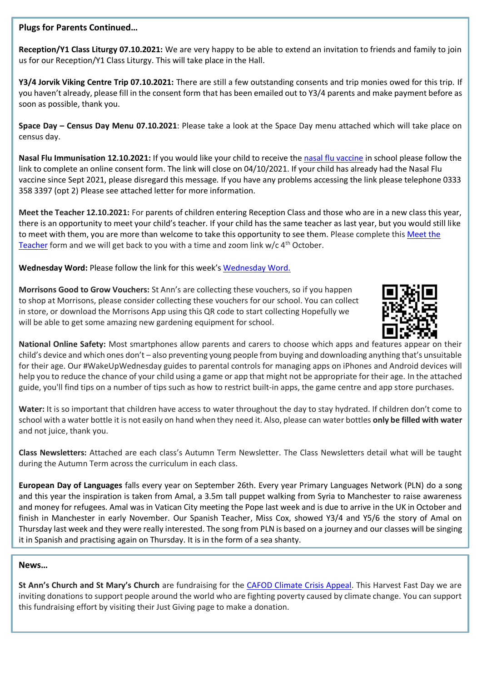## **Plugs for Parents Continued…**

**Reception/Y1 Class Liturgy 07.10.2021:** We are very happy to be able to extend an invitation to friends and family to join us for our Reception/Y1 Class Liturgy. This will take place in the Hall.

**Y3/4 Jorvik Viking Centre Trip 07.10.2021:** There are still a few outstanding consents and trip monies owed for this trip. If you haven't already, please fill in the consent form that has been emailed out to Y3/4 parents and make payment before as soon as possible, thank you.

**Space Day – Census Day Menu 07.10.2021**: Please take a look at the Space Day menu attached which will take place on census day.

**Nasal Flu Immunisation 12.10.2021:** If you would like your child to receive the [nasal flu vaccine](https://www.nhsimms.uk/FLU/information?Id=140441&Type=FLU) in school please follow the link to complete an online consent form. The link will close on 04/10/2021. If your child has already had the Nasal Flu vaccine since Sept 2021, please disregard this message. If you have any problems accessing the link please telephone 0333 358 3397 (opt 2) Please see attached letter for more information.

**Meet the Teacher 12.10.2021:** For parents of children entering Reception Class and those who are in a new class this year, there is an opportunity to meet your child's teacher. If your child has the same teacher as last year, but you would still like to meet with them, you are more than welcome to take this opportunity to see them. Please complete this Meet the [Teacher](https://forms.gle/zfY55ZSvTV5YQJ118) form and we will get back to you with a time and zoom link  $w/c$  4<sup>th</sup> October.

**Wednesday Word:** Please follow the link for this week's [Wednesday Word.](https://www.paperturn-view.com/uk/wednesday-word/goodness?pid=MTA101634&v=38.19)

**Morrisons Good to Grow Vouchers:** St Ann's are collecting these vouchers, so if you happen to shop at Morrisons, please consider collecting these vouchers for our school. You can collect in store, or download the Morrisons App using this QR code to start collecting Hopefully we will be able to get some amazing new gardening equipment for school.



**National Online Safety:** Most smartphones allow parents and carers to choose which apps and features appear on their child's device and which ones don't – also preventing young people from buying and downloading anything that's unsuitable for their age. Our #WakeUpWednesday guides to parental controls for managing apps on iPhones and Android devices will help you to reduce the chance of your child using a game or app that might not be appropriate for their age. In the attached guide, you'll find tips on a number of tips such as how to restrict built-in apps, the game centre and app store purchases.

**Water:** It is so important that children have access to water throughout the day to stay hydrated. If children don't come to school with a water bottle it is not easily on hand when they need it. Also, please can water bottles **only be filled with water** and not juice, thank you.

**Class Newsletters:** Attached are each class's Autumn Term Newsletter. The Class Newsletters detail what will be taught during the Autumn Term across the curriculum in each class.

**European Day of Languages** falls every year on September 26th. Every year Primary Languages Network (PLN) do a song and this year the inspiration is taken from Amal, a 3.5m tall puppet walking from Syria to Manchester to raise awareness and money for refugees. Amal was in Vatican City meeting the Pope last week and is due to arrive in the UK in October and finish in Manchester in early November. Our Spanish Teacher, Miss Cox, showed Y3/4 and Y5/6 the story of Amal on Thursday last week and they were really interested. The song from PLN is based on a journey and our classes will be singing it in Spanish and practising again on Thursday. It is in the form of a sea shanty.

#### **News…**

**St Ann's Church and St Mary's Church** are fundraising for the [CAFOD Climate Crisis Appeal.](https://www.justgiving.com/fundraising/st-anns-and-st-marys-harvest21) This Harvest Fast Day we are inviting donations to support people around the world who are fighting poverty caused by climate change. You can support this fundraising effort by visiting their Just Giving page to make a donation.